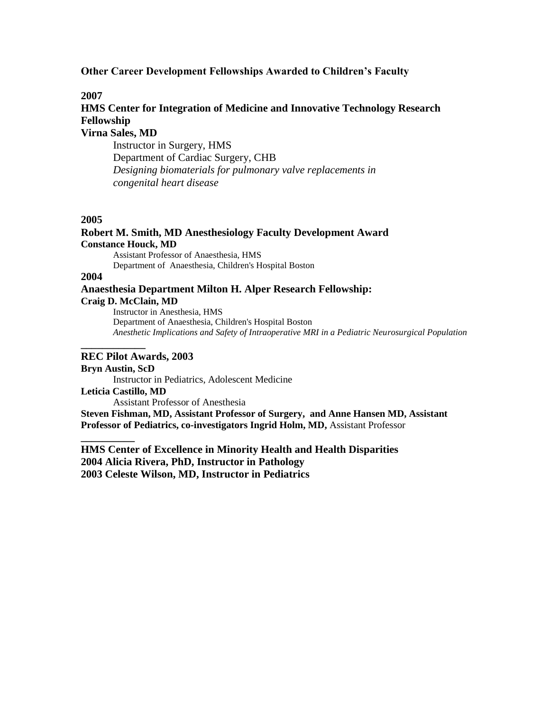## **Other Career Development Fellowships Awarded to Children's Faculty**

### **2007**

# **HMS Center for Integration of Medicine and Innovative Technology Research Fellowship**

**Virna Sales, MD**

Instructor in Surgery, HMS Department of Cardiac Surgery, CHB *Designing biomaterials for pulmonary valve replacements in congenital heart disease*

### **2005**

## **Robert M. Smith, MD Anesthesiology Faculty Development Award Constance Houck, MD**

Assistant Professor of Anaesthesia, HMS Department of Anaesthesia, Children's Hospital Boston

## **2004**

## **Anaesthesia Department Milton H. Alper Research Fellowship:**

#### **Craig D. McClain, MD**

**\_\_\_\_\_\_\_\_\_\_\_\_**

**\_\_\_\_\_\_\_\_\_\_**

Instructor in Anesthesia, HMS Department of Anaesthesia, Children's Hospital Boston *Anesthetic Implications and Safety of Intraoperative MRI in a Pediatric Neurosurgical Population*

#### **REC Pilot Awards, 2003**

**Bryn Austin, ScD** Instructor in Pediatrics, Adolescent Medicine **Leticia Castillo, MD** Assistant Professor of Anesthesia

**Steven Fishman, MD, Assistant Professor of Surgery, and Anne Hansen MD, Assistant Professor of Pediatrics, co-investigators Ingrid Holm, MD,** Assistant Professor

**HMS Center of Excellence in Minority Health and Health Disparities 2004 Alicia Rivera, PhD, Instructor in Pathology 2003 Celeste Wilson, MD, Instructor in Pediatrics**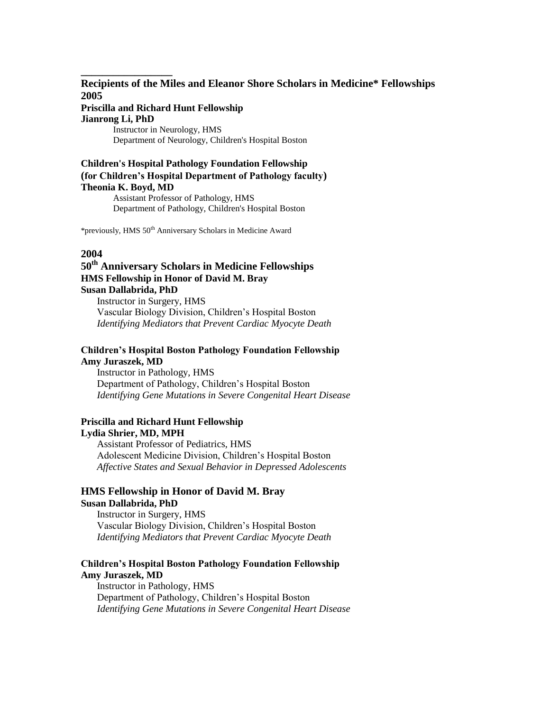## **Recipients of the Miles and Eleanor Shore Scholars in Medicine\* Fellowships 2005**

## **Priscilla and Richard Hunt Fellowship Jianrong Li, PhD**

**\_\_\_\_\_\_\_\_\_\_\_\_\_\_\_\_\_**

Instructor in Neurology, HMS Department of Neurology, Children's Hospital Boston

### **Children's Hospital Pathology Foundation Fellowship (for Children's Hospital Department of Pathology faculty) Theonia K. Boyd, MD** Assistant Professor of Pathology, HMS Department of Pathology, Children's Hospital Boston

\*previously, HMS 50th Anniversary Scholars in Medicine Award

## **2004**

## **50th Anniversary Scholars in Medicine Fellowships HMS Fellowship in Honor of David M. Bray Susan Dallabrida, PhD**

Instructor in Surgery, HMS Vascular Biology Division, Children's Hospital Boston *Identifying Mediators that Prevent Cardiac Myocyte Death*

### **Children's Hospital Boston Pathology Foundation Fellowship Amy Juraszek, MD**

Instructor in Pathology, HMS Department of Pathology, Children's Hospital Boston *Identifying Gene Mutations in Severe Congenital Heart Disease* 

#### **Priscilla and Richard Hunt Fellowship Lydia Shrier, MD, MPH**

Assistant Professor of Pediatrics, HMS Adolescent Medicine Division, Children's Hospital Boston *Affective States and Sexual Behavior in Depressed Adolescents*

### **HMS Fellowship in Honor of David M. Bray Susan Dallabrida, PhD**

Instructor in Surgery, HMS Vascular Biology Division, Children's Hospital Boston *Identifying Mediators that Prevent Cardiac Myocyte Death*

### **Children's Hospital Boston Pathology Foundation Fellowship Amy Juraszek, MD**

Instructor in Pathology, HMS Department of Pathology, Children's Hospital Boston *Identifying Gene Mutations in Severe Congenital Heart Disease*